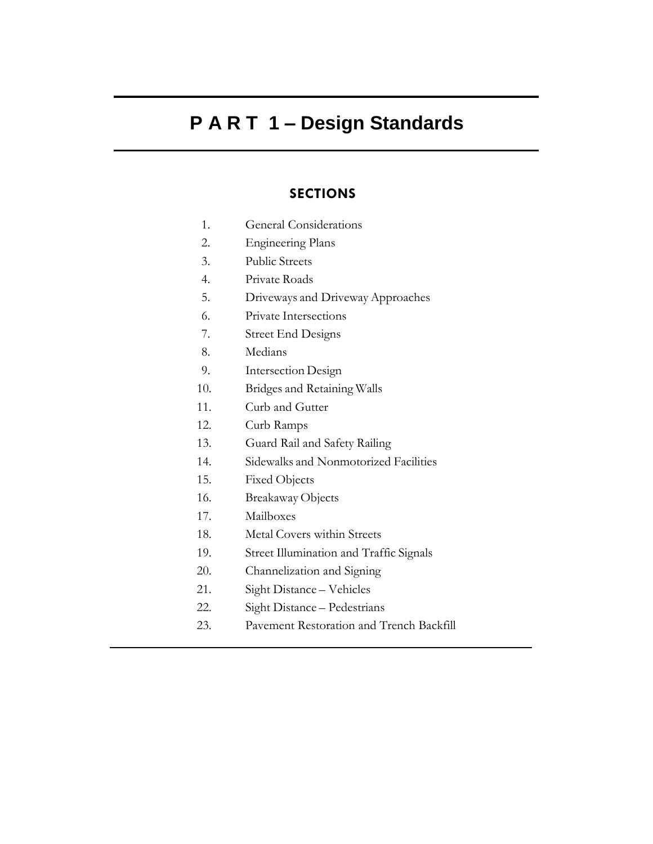# **P A R T 1 – Design Standards**

# **SECTIONS**

- 1. General Considerations
- 2. Engineering Plans
- 3. Public Streets
- 4. Private Roads
- 5. Driveways and Driveway Approaches
- 6. Private Intersections
- 7. Street End Designs
- 8. Medians
- 9. Intersection Design
- 10. Bridges and Retaining Walls
- 11. Curb and Gutter
- 12. Curb Ramps
- 13. Guard Rail and Safety Railing
- 14. Sidewalks and Nonmotorized Facilities
- 15. Fixed Objects
- 16. Breakaway Objects
- 17. Mailboxes
- 18. Metal Covers within Streets
- 19. Street Illumination and Traffic Signals
- 20. Channelization and Signing
- 21. Sight Distance Vehicles
- 22. Sight Distance Pedestrians
- 23. Pavement Restoration and Trench Backfill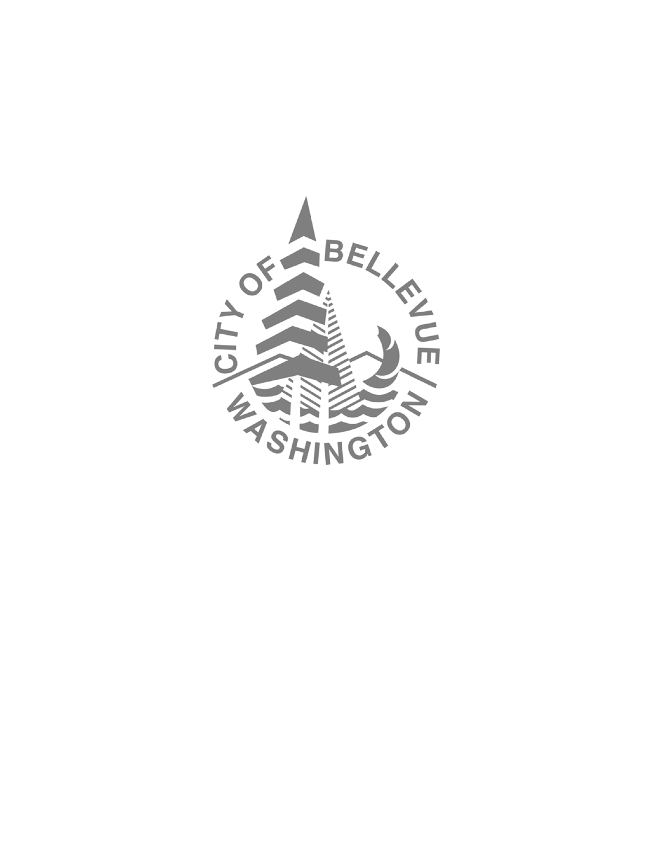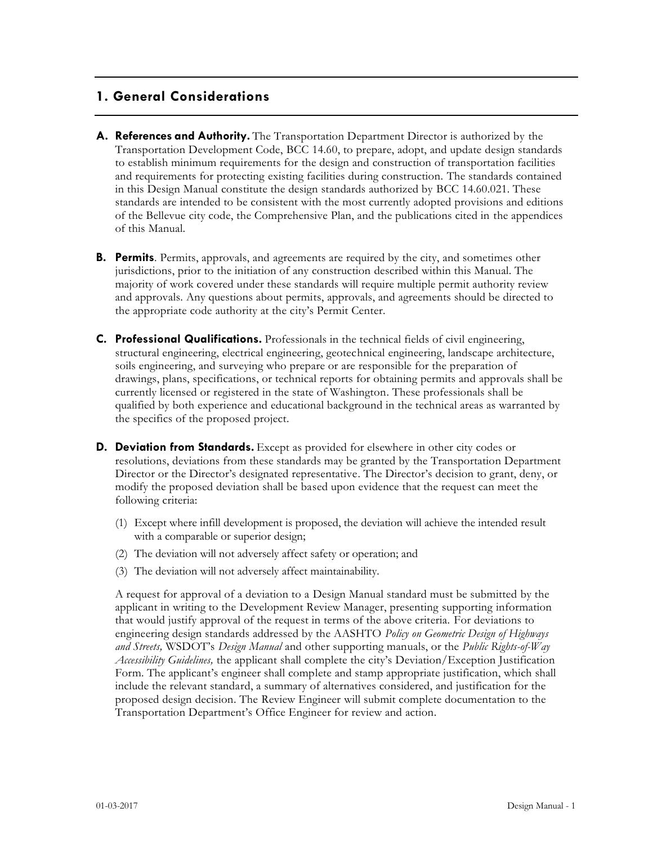# **1. General Considerations**

- **A. References and Authority.** The Transportation Department Director is authorized by the Transportation Development Code, BCC 14.60, to prepare, adopt, and update design standards to establish minimum requirements for the design and construction of transportation facilities and requirements for protecting existing facilities during construction. The standards contained in this Design Manual constitute the design standards authorized by BCC 14.60.021. These standards are intended to be consistent with the most currently adopted provisions and editions of the Bellevue city code, the Comprehensive Plan, and the publications cited in the appendices of this Manual.
- **B. Permits**. Permits, approvals, and agreements are required by the city, and sometimes other jurisdictions, prior to the initiation of any construction described within this Manual. The majority of work covered under these standards will require multiple permit authority review and approvals. Any questions about permits, approvals, and agreements should be directed to the appropriate code authority at the city's Permit Center.
- **C. Professional Qualifications.** Professionals in the technical fields of civil engineering, structural engineering, electrical engineering, geotechnical engineering, landscape architecture, soils engineering, and surveying who prepare or are responsible for the preparation of drawings, plans, specifications, or technical reports for obtaining permits and approvals shall be currently licensed or registered in the state of Washington. These professionals shall be qualified by both experience and educational background in the technical areas as warranted by the specifics of the proposed project.
- **D. Deviation from Standards.** Except as provided for elsewhere in other city codes or resolutions, deviations from these standards may be granted by the Transportation Department Director or the Director's designated representative. The Director's decision to grant, deny, or modify the proposed deviation shall be based upon evidence that the request can meet the following criteria:
	- (1) Except where infill development is proposed, the deviation will achieve the intended result with a comparable or superior design;
	- (2) The deviation will not adversely affect safety or operation; and
	- (3) The deviation will not adversely affect maintainability.

A request for approval of a deviation to a Design Manual standard must be submitted by the applicant in writing to the Development Review Manager, presenting supporting information that would justify approval of the request in terms of the above criteria. For deviations to engineering design standards addressed by the AASHTO *Policy on Geometric Design of Highways and Streets,* WSDOT's *Design Manual* and other supporting manuals, or the *Public Rights-of-Way Accessibility Guidelines,* the applicant shall complete the city's Deviation/Exception Justification Form. The applicant's engineer shall complete and stamp appropriate justification, which shall include the relevant standard, a summary of alternatives considered, and justification for the proposed design decision. The Review Engineer will submit complete documentation to the Transportation Department's Office Engineer for review and action.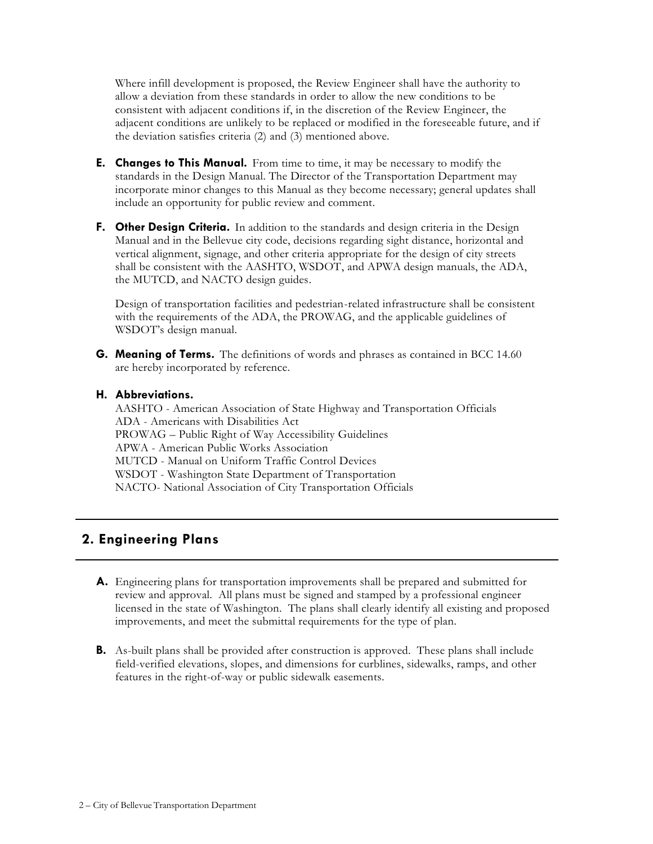Where infill development is proposed, the Review Engineer shall have the authority to allow a deviation from these standards in order to allow the new conditions to be consistent with adjacent conditions if, in the discretion of the Review Engineer, the adjacent conditions are unlikely to be replaced or modified in the foreseeable future, and if the deviation satisfies criteria (2) and (3) mentioned above.

- **E. Changes to This Manual.** From time to time, it may be necessary to modify the standards in the Design Manual. The Director of the Transportation Department may incorporate minor changes to this Manual as they become necessary; general updates shall include an opportunity for public review and comment.
- **F. Other Design Criteria.** In addition to the standards and design criteria in the Design Manual and in the Bellevue city code, decisions regarding sight distance, horizontal and vertical alignment, signage, and other criteria appropriate for the design of city streets shall be consistent with the AASHTO, WSDOT, and APWA design manuals, the ADA, the MUTCD, and NACTO design guides.

Design of transportation facilities and pedestrian-related infrastructure shall be consistent with the requirements of the ADA, the PROWAG, and the applicable guidelines of WSDOT's design manual.

**G. Meaning of Terms.** The definitions of words and phrases as contained in BCC 14.60 are hereby incorporated by reference.

#### **H. Abbreviations.**

AASHTO - American Association of State Highway and Transportation Officials ADA - Americans with Disabilities Act PROWAG – Public Right of Way Accessibility Guidelines APWA - American Public Works Association MUTCD - Manual on Uniform Traffic Control Devices WSDOT - Washington State Department of Transportation NACTO- National Association of City Transportation Officials

# **2. Engineering Plans**

- **A.** Engineering plans for transportation improvements shall be prepared and submitted for review and approval. All plans must be signed and stamped by a professional engineer licensed in the state of Washington. The plans shall clearly identify all existing and proposed improvements, and meet the submittal requirements for the type of plan.
- **B.** As-built plans shall be provided after construction is approved. These plans shall include field-verified elevations, slopes, and dimensions for curblines, sidewalks, ramps, and other features in the right-of-way or public sidewalk easements.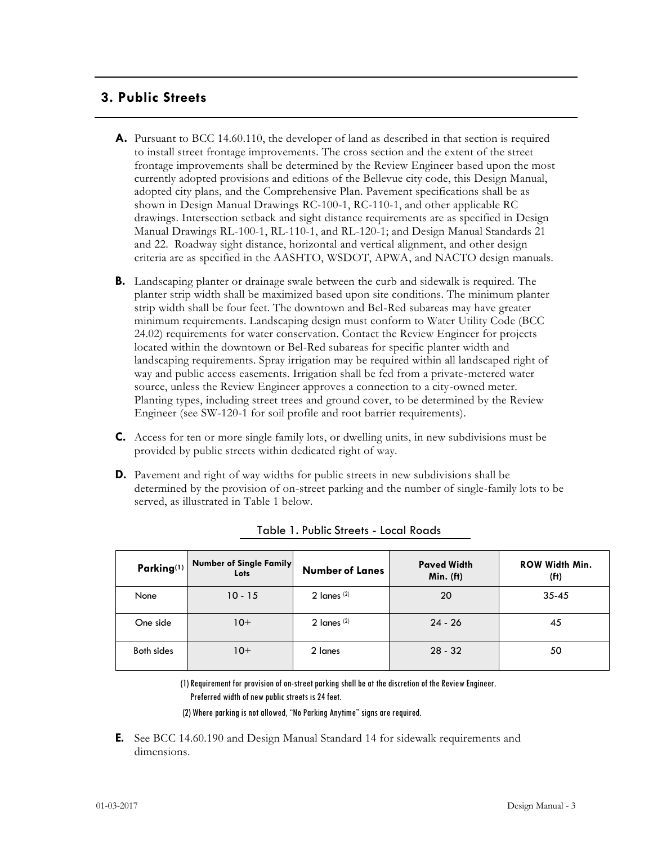# **3. Public Streets**

- **A.** Pursuant to BCC 14.60.110, the developer of land as described in that section is required to install street frontage improvements. The cross section and the extent of the street frontage improvements shall be determined by the Review Engineer based upon the most currently adopted provisions and editions of the Bellevue city code, this Design Manual, adopted city plans, and the Comprehensive Plan. Pavement specifications shall be as shown in Design Manual Drawings RC-100-1, RC-110-1, and other applicable RC drawings. Intersection setback and sight distance requirements are as specified in Design Manual Drawings RL-100-1, RL-110-1, and RL-120-1; and Design Manual Standards 21 and 22. Roadway sight distance, horizontal and vertical alignment, and other design criteria are as specified in the AASHTO, WSDOT, APWA, and NACTO design manuals.
- **B.** Landscaping planter or drainage swale between the curb and sidewalk is required. The planter strip width shall be maximized based upon site conditions. The minimum planter strip width shall be four feet. The downtown and Bel-Red subareas may have greater minimum requirements. Landscaping design must conform to Water Utility Code (BCC 24.02) requirements for water conservation. Contact the Review Engineer for projects located within the downtown or Bel-Red subareas for specific planter width and landscaping requirements. Spray irrigation may be required within all landscaped right of way and public access easements. Irrigation shall be fed from a private-metered water source, unless the Review Engineer approves a connection to a city-owned meter. Planting types, including street trees and ground cover, to be determined by the Review Engineer (see SW-120-1 for soil profile and root barrier requirements).
- **C.** Access for ten or more single family lots, or dwelling units, in new subdivisions must be provided by public streets within dedicated right of way.
- **D.** Pavement and right of way widths for public streets in new subdivisions shall be determined by the provision of on-street parking and the number of single-family lots to be served, as illustrated in Table 1 below.

| Parking <sup>(1)</sup> | <b>Number of Single Family</b><br>Lots | <b>Number of Lanes</b> | <b>Paved Width</b><br>Min. (ft) | <b>ROW Width Min.</b><br>(f <sup>t</sup> ) |
|------------------------|----------------------------------------|------------------------|---------------------------------|--------------------------------------------|
| None                   | $10 - 15$                              | 2 lanes $(2)$          | 20                              | $35 - 45$                                  |
| One side               | $10+$                                  | 2 $l$ anes $(2)$       | $24 - 26$                       | 45                                         |
| Both sides             | $10+$                                  | 2 lanes                | $28 - 32$                       | 50                                         |

Table 1. Public Streets - Local Roads

(1) Requirement for provision of on-street parking shall be at the discretion of the Review Engineer. Preferred width of new public streets is 24 feet.

(2) Where parking is not allowed, "No Parking Anytime" signs are required.

**E.** See BCC 14.60.190 and Design Manual Standard 14 for sidewalk requirements and dimensions.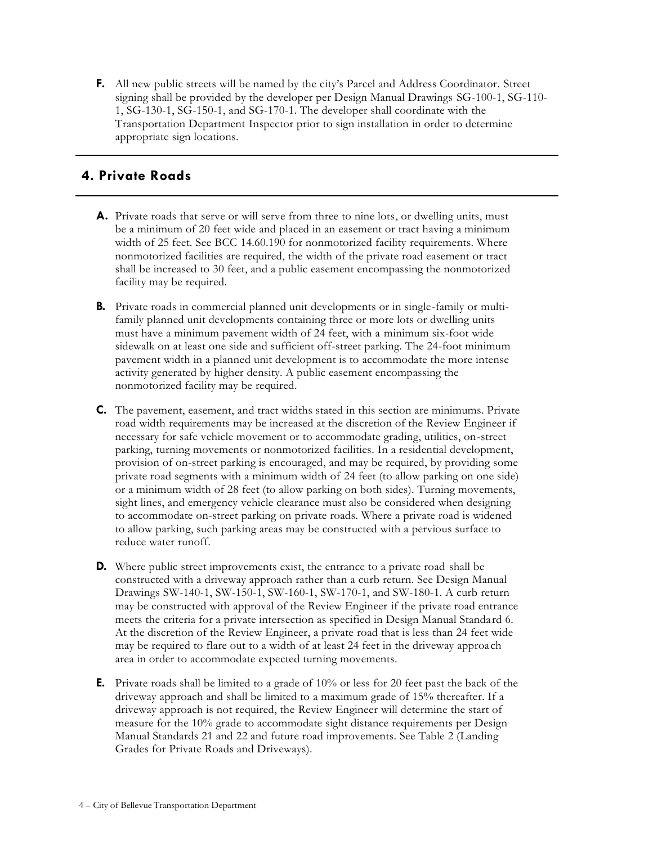**F.** All new public streets will be named by the city's Parcel and Address Coordinator. Street signing shall be provided by the developer per Design Manual Drawings SG-100-1, SG-110- 1, SG-130-1, SG-150-1, and SG-170-1. The developer shall coordinate with the Transportation Department Inspector prior to sign installation in order to determine appropriate sign locations.

# **4. Private Roads**

- **A.** Private roads that serve or will serve from three to nine lots, or dwelling units, must be a minimum of 20 feet wide and placed in an easement or tract having a minimum width of 25 feet. See BCC 14.60.190 for nonmotorized facility requirements. Where nonmotorized facilities are required, the width of the private road easement or tract shall be increased to 30 feet, and a public easement encompassing the nonmotorized facility may be required.
- **B.** Private roads in commercial planned unit developments or in single-family or multifamily planned unit developments containing three or more lots or dwelling units must have a minimum pavement width of 24 feet, with a minimum six-foot wide sidewalk on at least one side and sufficient off-street parking. The 24-foot minimum pavement width in a planned unit development is to accommodate the more intense activity generated by higher density. A public easement encompassing the nonmotorized facility may be required.
- **C.** The pavement, easement, and tract widths stated in this section are minimums. Private road width requirements may be increased at the discretion of the Review Engineer if necessary for safe vehicle movement or to accommodate grading, utilities, on-street parking, turning movements or nonmotorized facilities. In a residential development, provision of on-street parking is encouraged, and may be required, by providing some private road segments with a minimum width of 24 feet (to allow parking on one side) or a minimum width of 28 feet (to allow parking on both sides). Turning movements, sight lines, and emergency vehicle clearance must also be considered when designing to accommodate on-street parking on private roads. Where a private road is widened to allow parking, such parking areas may be constructed with a pervious surface to reduce water runoff.
- **D.** Where public street improvements exist, the entrance to a private road shall be constructed with a driveway approach rather than a curb return. See Design Manual Drawings SW-140-1, SW-150-1, SW-160-1, SW-170-1, and SW-180-1. A curb return may be constructed with approval of the Review Engineer if the private road entrance meets the criteria for a private intersection as specified in Design Manual Standard 6. At the discretion of the Review Engineer, a private road that is less than 24 feet wide may be required to flare out to a width of at least 24 feet in the driveway approach area in order to accommodate expected turning movements.
- **E.** Private roads shall be limited to a grade of 10% or less for 20 feet past the back of the driveway approach and shall be limited to a maximum grade of 15% thereafter. If a driveway approach is not required, the Review Engineer will determine the start of measure for the 10% grade to accommodate sight distance requirements per Design Manual Standards 21 and 22 and future road improvements. See Table 2 (Landing Grades for Private Roads and Driveways).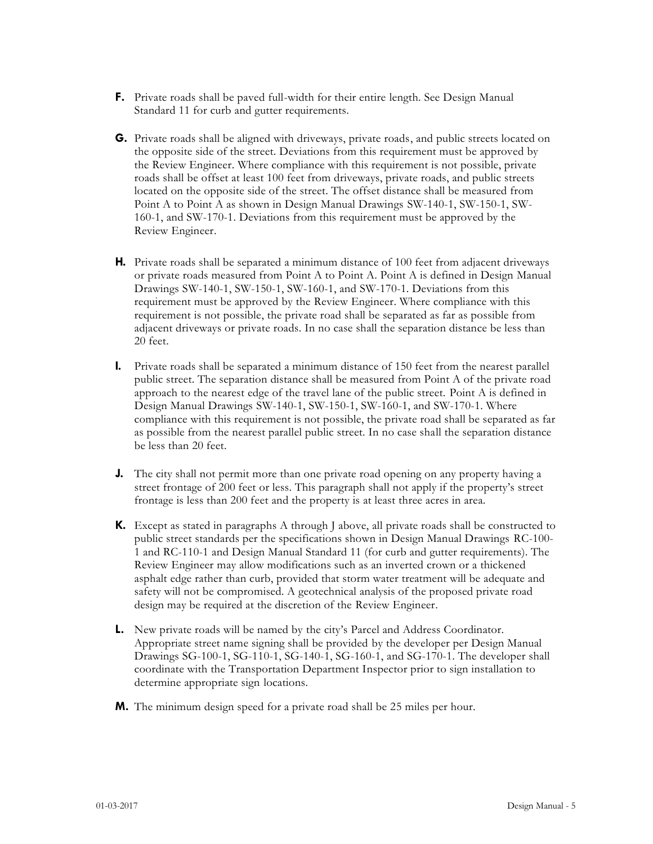- **F.** Private roads shall be paved full-width for their entire length. See Design Manual Standard 11 for curb and gutter requirements.
- **G.** Private roads shall be aligned with driveways, private roads, and public streets located on the opposite side of the street. Deviations from this requirement must be approved by the Review Engineer. Where compliance with this requirement is not possible, private roads shall be offset at least 100 feet from driveways, private roads, and public streets located on the opposite side of the street. The offset distance shall be measured from Point A to Point A as shown in Design Manual Drawings SW-140-1, SW-150-1, SW-160-1, and SW-170-1. Deviations from this requirement must be approved by the Review Engineer.
- **H.** Private roads shall be separated a minimum distance of 100 feet from adjacent driveways or private roads measured from Point A to Point A. Point A is defined in Design Manual Drawings SW-140-1, SW-150-1, SW-160-1, and SW-170-1. Deviations from this requirement must be approved by the Review Engineer. Where compliance with this requirement is not possible, the private road shall be separated as far as possible from adjacent driveways or private roads. In no case shall the separation distance be less than 20 feet.
- **I.** Private roads shall be separated a minimum distance of 150 feet from the nearest parallel public street. The separation distance shall be measured from Point A of the private road approach to the nearest edge of the travel lane of the public street. Point A is defined in Design Manual Drawings SW-140-1, SW-150-1, SW-160-1, and SW-170-1. Where compliance with this requirement is not possible, the private road shall be separated as far as possible from the nearest parallel public street. In no case shall the separation distance be less than 20 feet.
- **J.** The city shall not permit more than one private road opening on any property having a street frontage of 200 feet or less. This paragraph shall not apply if the property's street frontage is less than 200 feet and the property is at least three acres in area.
- **K.** Except as stated in paragraphs A through J above, all private roads shall be constructed to public street standards per the specifications shown in Design Manual Drawings RC-100- 1 and RC-110-1 and Design Manual Standard 11 (for curb and gutter requirements). The Review Engineer may allow modifications such as an inverted crown or a thickened asphalt edge rather than curb, provided that storm water treatment will be adequate and safety will not be compromised. A geotechnical analysis of the proposed private road design may be required at the discretion of the Review Engineer.
- **L.** New private roads will be named by the city's Parcel and Address Coordinator. Appropriate street name signing shall be provided by the developer per Design Manual Drawings SG-100-1, SG-110-1, SG-140-1, SG-160-1, and SG-170-1. The developer shall coordinate with the Transportation Department Inspector prior to sign installation to determine appropriate sign locations.
- **M.** The minimum design speed for a private road shall be 25 miles per hour.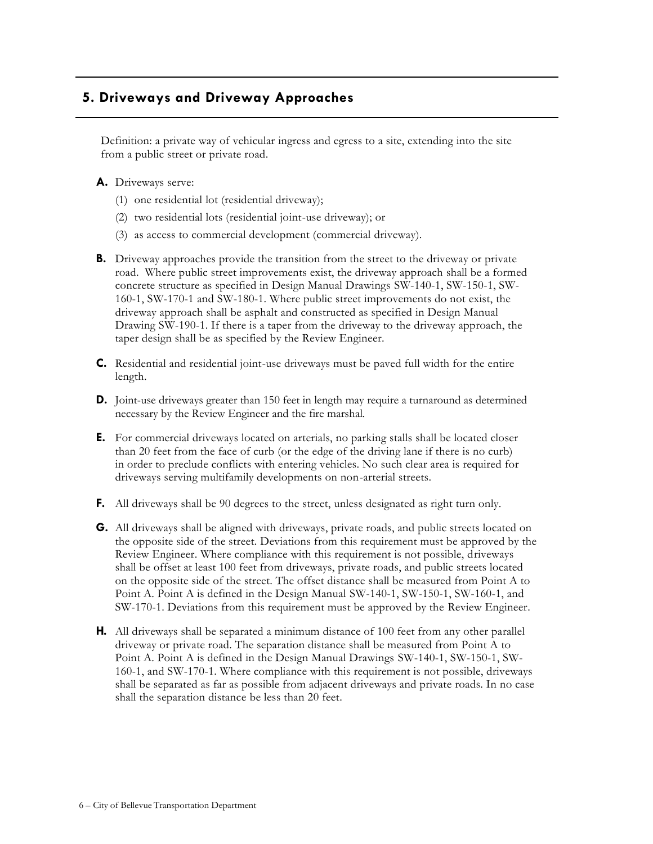# **5. Driveways and Driveway Approaches**

Definition: a private way of vehicular ingress and egress to a site, extending into the site from a public street or private road.

#### **A.** Driveways serve:

- (1) one residential lot (residential driveway);
- (2) two residential lots (residential joint-use driveway); or
- (3) as access to commercial development (commercial driveway).
- **B.** Driveway approaches provide the transition from the street to the driveway or private road. Where public street improvements exist, the driveway approach shall be a formed concrete structure as specified in Design Manual Drawings SW-140-1, SW-150-1, SW-160-1, SW-170-1 and SW-180-1. Where public street improvements do not exist, the driveway approach shall be asphalt and constructed as specified in Design Manual Drawing SW-190-1. If there is a taper from the driveway to the driveway approach, the taper design shall be as specified by the Review Engineer.
- **C.** Residential and residential joint-use driveways must be paved full width for the entire length.
- **D.** Joint-use driveways greater than 150 feet in length may require a turnaround as determined necessary by the Review Engineer and the fire marshal.
- **E.** For commercial driveways located on arterials, no parking stalls shall be located closer than 20 feet from the face of curb (or the edge of the driving lane if there is no curb) in order to preclude conflicts with entering vehicles. No such clear area is required for driveways serving multifamily developments on non-arterial streets.
- **F.** All driveways shall be 90 degrees to the street, unless designated as right turn only.
- **G.** All driveways shall be aligned with driveways, private roads, and public streets located on the opposite side of the street. Deviations from this requirement must be approved by the Review Engineer. Where compliance with this requirement is not possible, driveways shall be offset at least 100 feet from driveways, private roads, and public streets located on the opposite side of the street. The offset distance shall be measured from Point A to Point A. Point A is defined in the Design Manual SW-140-1, SW-150-1, SW-160-1, and SW-170-1. Deviations from this requirement must be approved by the Review Engineer.
- **H.** All driveways shall be separated a minimum distance of 100 feet from any other parallel driveway or private road. The separation distance shall be measured from Point A to Point A. Point A is defined in the Design Manual Drawings SW-140-1, SW-150-1, SW-160-1, and SW-170-1. Where compliance with this requirement is not possible, driveways shall be separated as far as possible from adjacent driveways and private roads. In no case shall the separation distance be less than 20 feet.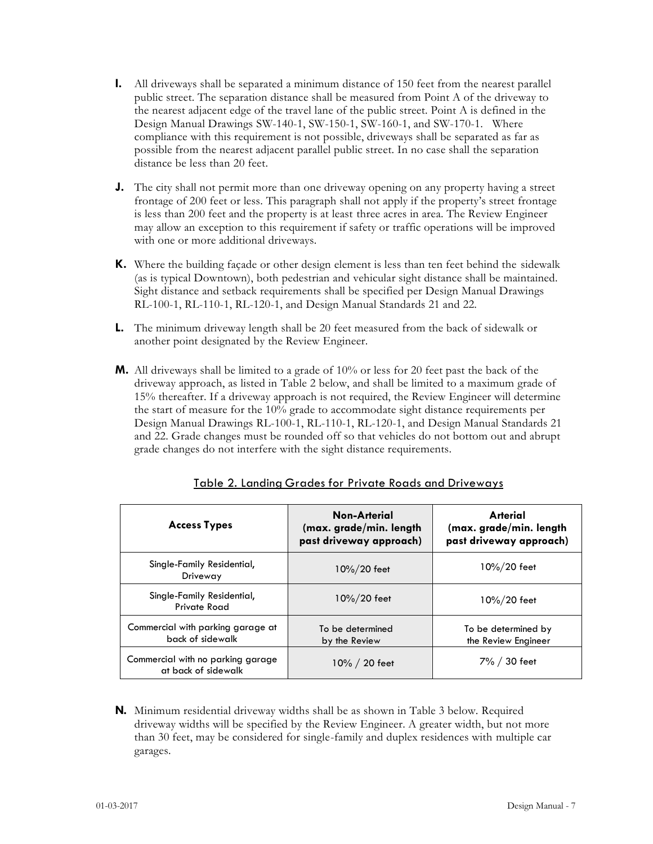- **I.** All driveways shall be separated a minimum distance of 150 feet from the nearest parallel public street. The separation distance shall be measured from Point A of the driveway to the nearest adjacent edge of the travel lane of the public street. Point A is defined in the Design Manual Drawings SW-140-1, SW-150-1, SW-160-1, and SW-170-1. Where compliance with this requirement is not possible, driveways shall be separated as far as possible from the nearest adjacent parallel public street. In no case shall the separation distance be less than 20 feet.
- **J.** The city shall not permit more than one driveway opening on any property having a street frontage of 200 feet or less. This paragraph shall not apply if the property's street frontage is less than 200 feet and the property is at least three acres in area. The Review Engineer may allow an exception to this requirement if safety or traffic operations will be improved with one or more additional driveways.
- **K.** Where the building façade or other design element is less than ten feet behind the sidewalk (as is typical Downtown), both pedestrian and vehicular sight distance shall be maintained. Sight distance and setback requirements shall be specified per Design Manual Drawings RL-100-1, RL-110-1, RL-120-1, and Design Manual Standards 21 and 22.
- **L.** The minimum driveway length shall be 20 feet measured from the back of sidewalk or another point designated by the Review Engineer.
- **M.** All driveways shall be limited to a grade of 10% or less for 20 feet past the back of the driveway approach, as listed in Table 2 below, and shall be limited to a maximum grade of 15% thereafter. If a driveway approach is not required, the Review Engineer will determine the start of measure for the 10% grade to accommodate sight distance requirements per Design Manual Drawings RL-100-1, RL-110-1, RL-120-1, and Design Manual Standards 21 and 22. Grade changes must be rounded off so that vehicles do not bottom out and abrupt grade changes do not interfere with the sight distance requirements.

| <b>Access Types</b>                                      | Non-Arterial<br>(max. grade/min. length<br>past driveway approach) | Arterial<br>(max. grade/min. length<br>past driveway approach) |
|----------------------------------------------------------|--------------------------------------------------------------------|----------------------------------------------------------------|
| Single-Family Residential,<br>Driveway                   | 10%/20 feet                                                        | 10%/20 feet                                                    |
| Single-Family Residential,<br>Private Road               | 10%/20 feet                                                        | 10%/20 feet                                                    |
| Commercial with parking garage at<br>back of sidewalk    | To be determined<br>by the Review                                  | To be determined by<br>the Review Engineer                     |
| Commercial with no parking garage<br>at back of sidewalk | 10% / 20 feet                                                      | 7% / 30 feet                                                   |

#### Table 2. Landing Grades for Private Roads and Driveways

**N.** Minimum residential driveway widths shall be as shown in Table 3 below. Required driveway widths will be specified by the Review Engineer. A greater width, but not more than 30 feet, may be considered for single-family and duplex residences with multiple car garages.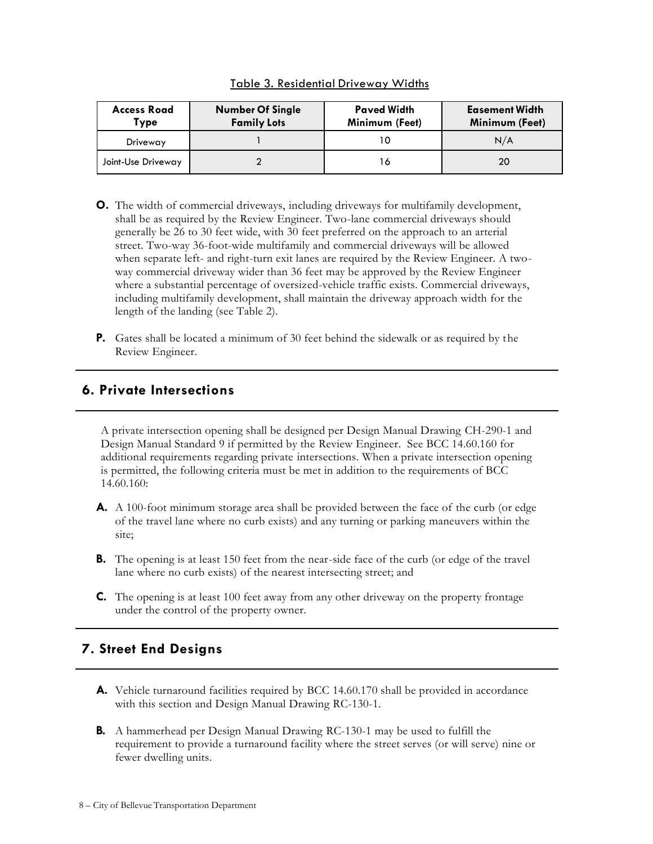| <b>Access Road</b><br>Type | <b>Number Of Single</b><br><b>Family Lots</b> | <b>Paved Width</b><br>Minimum (Feet) | <b>Easement Width</b><br>Minimum (Feet) |
|----------------------------|-----------------------------------------------|--------------------------------------|-----------------------------------------|
| Driveway                   |                                               |                                      | N/A                                     |
| Joint-Use Driveway         |                                               | O                                    | 20                                      |

Table 3. Residential Driveway Widths

- **O.** The width of commercial driveways, including driveways for multifamily development, shall be as required by the Review Engineer. Two-lane commercial driveways should generally be 26 to 30 feet wide, with 30 feet preferred on the approach to an arterial street. Two-way 36-foot-wide multifamily and commercial driveways will be allowed when separate left- and right-turn exit lanes are required by the Review Engineer. A twoway commercial driveway wider than 36 feet may be approved by the Review Engineer where a substantial percentage of oversized-vehicle traffic exists. Commercial driveways, including multifamily development, shall maintain the driveway approach width for the length of the landing (see Table 2).
- **P.** Gates shall be located a minimum of 30 feet behind the sidewalk or as required by the Review Engineer.

# **6. Private Intersections**

A private intersection opening shall be designed per Design Manual Drawing CH-290-1 and Design Manual Standard 9 if permitted by the Review Engineer. See BCC 14.60.160 for additional requirements regarding private intersections. When a private intersection opening is permitted, the following criteria must be met in addition to the requirements of BCC 14.60.160:

- **A.** A 100-foot minimum storage area shall be provided between the face of the curb (or edge of the travel lane where no curb exists) and any turning or parking maneuvers within the site;
- **B.** The opening is at least 150 feet from the near-side face of the curb (or edge of the travel lane where no curb exists) of the nearest intersecting street; and
- **C.** The opening is at least 100 feet away from any other driveway on the property frontage under the control of the property owner.

# **7. Street End Designs**

- **A.** Vehicle turnaround facilities required by BCC 14.60.170 shall be provided in accordance with this section and Design Manual Drawing RC-130-1.
- **B.** A hammerhead per Design Manual Drawing RC-130-1 may be used to fulfill the requirement to provide a turnaround facility where the street serves (or will serve) nine or fewer dwelling units.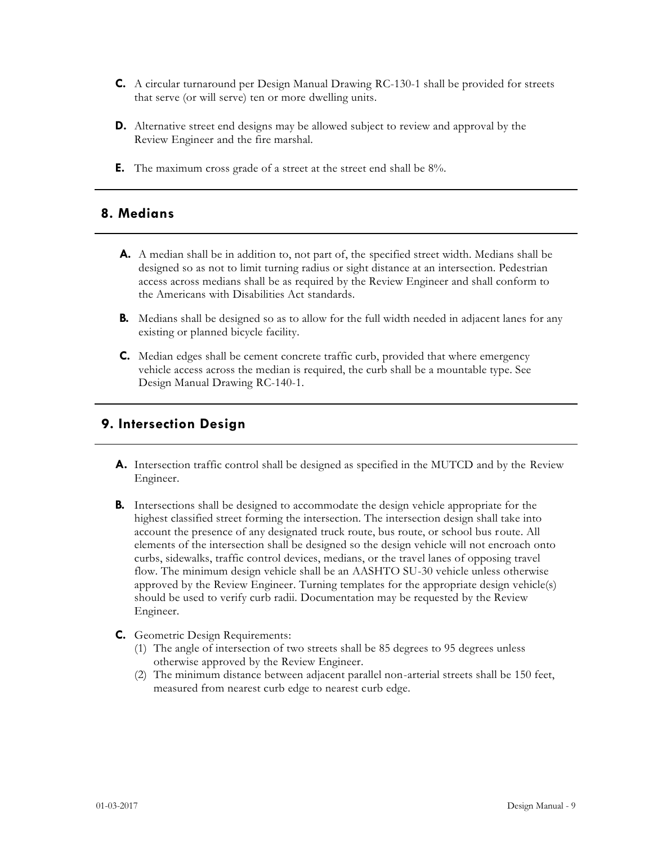- **C.** A circular turnaround per Design Manual Drawing RC-130-1 shall be provided for streets that serve (or will serve) ten or more dwelling units.
- **D.** Alternative street end designs may be allowed subject to review and approval by the Review Engineer and the fire marshal.
- **E.** The maximum cross grade of a street at the street end shall be 8%.

# **8. Medians**

- **A.** A median shall be in addition to, not part of, the specified street width. Medians shall be designed so as not to limit turning radius or sight distance at an intersection. Pedestrian access across medians shall be as required by the Review Engineer and shall conform to the Americans with Disabilities Act standards.
- **B.** Medians shall be designed so as to allow for the full width needed in adjacent lanes for any existing or planned bicycle facility.
- **C.** Median edges shall be cement concrete traffic curb, provided that where emergency vehicle access across the median is required, the curb shall be a mountable type. See Design Manual Drawing RC-140-1.

## **9. Intersection Design**

- **A.** Intersection traffic control shall be designed as specified in the MUTCD and by the Review Engineer.
- **B.** Intersections shall be designed to accommodate the design vehicle appropriate for the highest classified street forming the intersection. The intersection design shall take into account the presence of any designated truck route, bus route, or school bus route. All elements of the intersection shall be designed so the design vehicle will not encroach onto curbs, sidewalks, traffic control devices, medians, or the travel lanes of opposing travel flow. The minimum design vehicle shall be an AASHTO SU-30 vehicle unless otherwise approved by the Review Engineer. Turning templates for the appropriate design vehicle(s) should be used to verify curb radii. Documentation may be requested by the Review Engineer.
- **C.** Geometric Design Requirements:
	- (1) The angle of intersection of two streets shall be 85 degrees to 95 degrees unless otherwise approved by the Review Engineer.
	- (2) The minimum distance between adjacent parallel non-arterial streets shall be 150 feet, measured from nearest curb edge to nearest curb edge.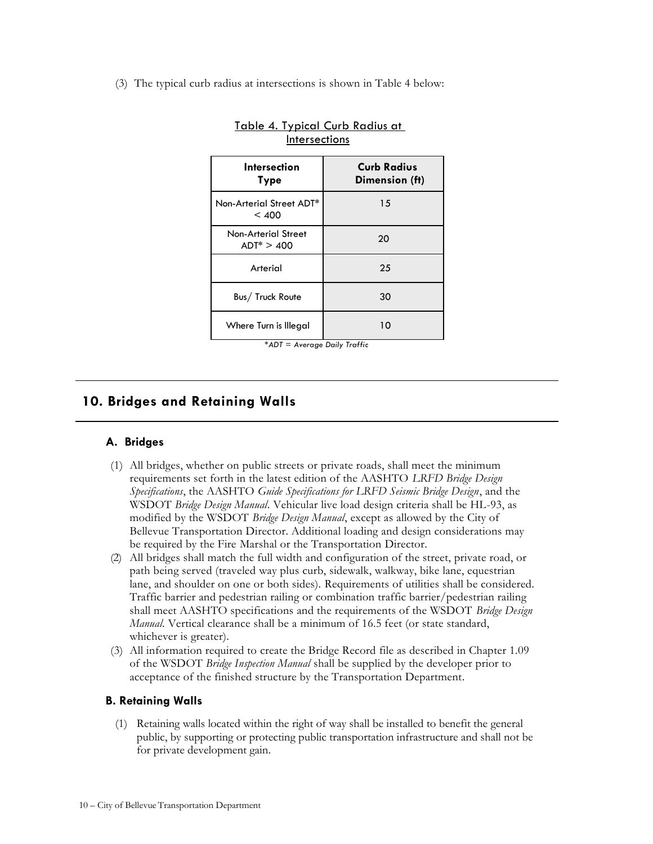(3) The typical curb radius at intersections is shown in Table 4 below:

| <b>Intersection</b><br>Type                 | <b>Curb Radius</b><br>Dimension (ft) |  |
|---------------------------------------------|--------------------------------------|--|
| Non-Arterial Street ADT*<br>< 400           | 15                                   |  |
| <b>Non-Arterial Street</b><br>$ADT^* > 400$ | 20                                   |  |
| Arterial                                    | 25                                   |  |
| Bus/ Truck Route                            | 30                                   |  |
| Where Turn is Illegal                       | 10                                   |  |

|               | Table 4. Typical Curb Radius at |  |  |  |  |
|---------------|---------------------------------|--|--|--|--|
| Intersections |                                 |  |  |  |  |

**10. Bridges and Retaining Walls**

#### **A. Bridges**

- (1) All bridges, whether on public streets or private roads, shall meet the minimum requirements set forth in the latest edition of the AASHTO *LRFD Bridge Design Specifications*, the AASHTO *Guide Specifications for LRFD Seismic Bridge Design*, and the WSDOT *Bridge Design Manual*. Vehicular live load design criteria shall be HL-93, as modified by the WSDOT *Bridge Design Manual*, except as allowed by the City of Bellevue Transportation Director. Additional loading and design considerations may be required by the Fire Marshal or the Transportation Director.
- (2) All bridges shall match the full width and configuration of the street, private road, or path being served (traveled way plus curb, sidewalk, walkway, bike lane, equestrian lane, and shoulder on one or both sides). Requirements of utilities shall be considered. Traffic barrier and pedestrian railing or combination traffic barrier/pedestrian railing shall meet AASHTO specifications and the requirements of the WSDOT *Bridge Design Manual*. Vertical clearance shall be a minimum of 16.5 feet (or state standard, whichever is greater).
- (3) All information required to create the Bridge Record file as described in Chapter 1.09 of the WSDOT *Bridge Inspection Manual* shall be supplied by the developer prior to acceptance of the finished structure by the Transportation Department.

#### **B. Retaining Walls**

(1) Retaining walls located within the right of way shall be installed to benefit the general public, by supporting or protecting public transportation infrastructure and shall not be for private development gain.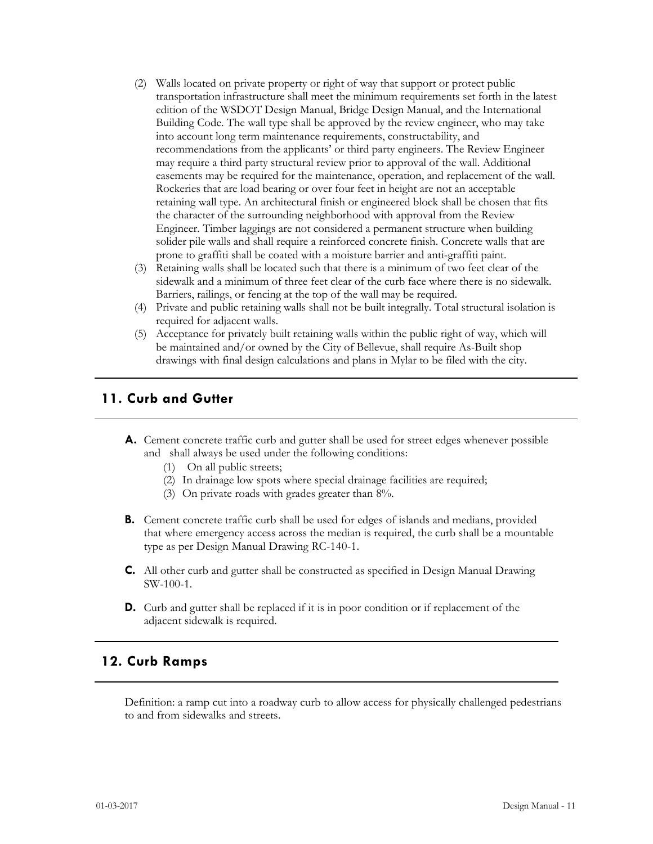- (2) Walls located on private property or right of way that support or protect public transportation infrastructure shall meet the minimum requirements set forth in the latest edition of the WSDOT Design Manual, Bridge Design Manual, and the International Building Code. The wall type shall be approved by the review engineer, who may take into account long term maintenance requirements, constructability, and recommendations from the applicants' or third party engineers. The Review Engineer may require a third party structural review prior to approval of the wall. Additional easements may be required for the maintenance, operation, and replacement of the wall. Rockeries that are load bearing or over four feet in height are not an acceptable retaining wall type. An architectural finish or engineered block shall be chosen that fits the character of the surrounding neighborhood with approval from the Review Engineer. Timber laggings are not considered a permanent structure when building solider pile walls and shall require a reinforced concrete finish. Concrete walls that are prone to graffiti shall be coated with a moisture barrier and anti-graffiti paint.
- (3) Retaining walls shall be located such that there is a minimum of two feet clear of the sidewalk and a minimum of three feet clear of the curb face where there is no sidewalk. Barriers, railings, or fencing at the top of the wall may be required.
- (4) Private and public retaining walls shall not be built integrally. Total structural isolation is required for adjacent walls.
- (5) Acceptance for privately built retaining walls within the public right of way, which will be maintained and/or owned by the City of Bellevue, shall require As-Built shop drawings with final design calculations and plans in Mylar to be filed with the city.

## **11. Curb and Gutter**

- **A.** Cement concrete traffic curb and gutter shall be used for street edges whenever possible and shall always be used under the following conditions:
	- (1) On all public streets;
	- (2) In drainage low spots where special drainage facilities are required;
	- (3) On private roads with grades greater than 8%.
- **B.** Cement concrete traffic curb shall be used for edges of islands and medians, provided that where emergency access across the median is required, the curb shall be a mountable type as per Design Manual Drawing RC-140-1.
- **C.** All other curb and gutter shall be constructed as specified in Design Manual Drawing SW-100-1.
- **D.** Curb and gutter shall be replaced if it is in poor condition or if replacement of the adjacent sidewalk is required.

#### **12. Curb Ramps**

Definition: a ramp cut into a roadway curb to allow access for physically challenged pedestrians to and from sidewalks and streets.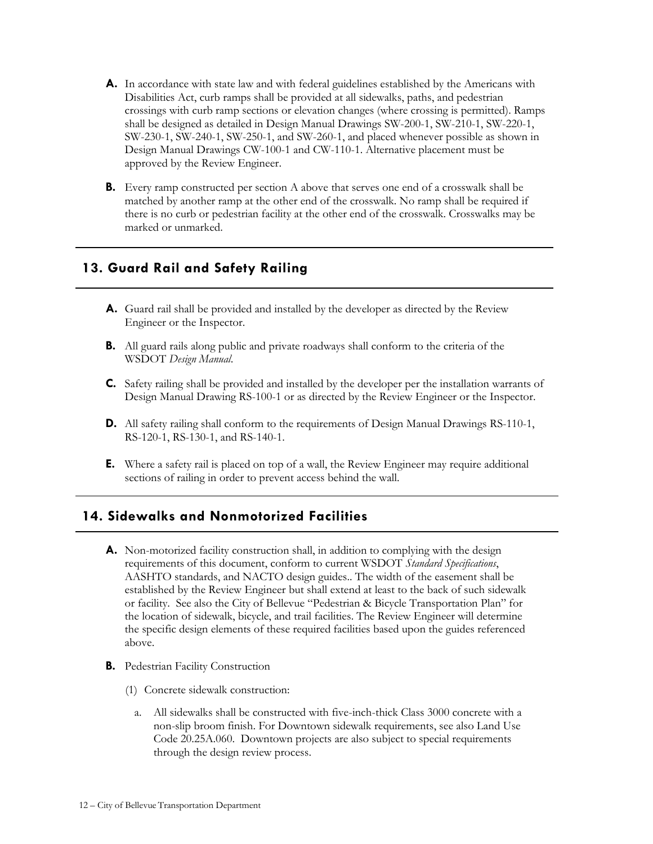- **A.** In accordance with state law and with federal guidelines established by the Americans with Disabilities Act, curb ramps shall be provided at all sidewalks, paths, and pedestrian crossings with curb ramp sections or elevation changes (where crossing is permitted). Ramps shall be designed as detailed in Design Manual Drawings SW-200-1, SW-210-1, SW-220-1, SW-230-1, SW-240-1, SW-250-1, and SW-260-1, and placed whenever possible as shown in Design Manual Drawings CW-100-1 and CW-110-1. Alternative placement must be approved by the Review Engineer.
- **B.** Every ramp constructed per section A above that serves one end of a crosswalk shall be matched by another ramp at the other end of the crosswalk. No ramp shall be required if there is no curb or pedestrian facility at the other end of the crosswalk. Crosswalks may be marked or unmarked.

# **13. Guard Rail and Safety Railing**

- **A.** Guard rail shall be provided and installed by the developer as directed by the Review Engineer or the Inspector.
- **B.** All guard rails along public and private roadways shall conform to the criteria of the WSDOT *Design Manual*.
- **C.** Safety railing shall be provided and installed by the developer per the installation warrants of Design Manual Drawing RS-100-1 or as directed by the Review Engineer or the Inspector.
- **D.** All safety railing shall conform to the requirements of Design Manual Drawings RS-110-1, RS-120-1, RS-130-1, and RS-140-1.
- **E.** Where a safety rail is placed on top of a wall, the Review Engineer may require additional sections of railing in order to prevent access behind the wall.

# **14. Sidewalks and Nonmotorized Facilities**

- **A.** Non-motorized facility construction shall, in addition to complying with the design requirements of this document, conform to current WSDOT *Standard Specifications*, AASHTO standards, and NACTO design guides.. The width of the easement shall be established by the Review Engineer but shall extend at least to the back of such sidewalk or facility. See also the City of Bellevue "Pedestrian & Bicycle Transportation Plan" for the location of sidewalk, bicycle, and trail facilities. The Review Engineer will determine the specific design elements of these required facilities based upon the guides referenced above.
- **B.** Pedestrian Facility Construction
	- (1) Concrete sidewalk construction:
		- a. All sidewalks shall be constructed with five-inch-thick Class 3000 concrete with a non-slip broom finish. For Downtown sidewalk requirements, see also Land Use Code 20.25A.060. Downtown projects are also subject to special requirements through the design review process.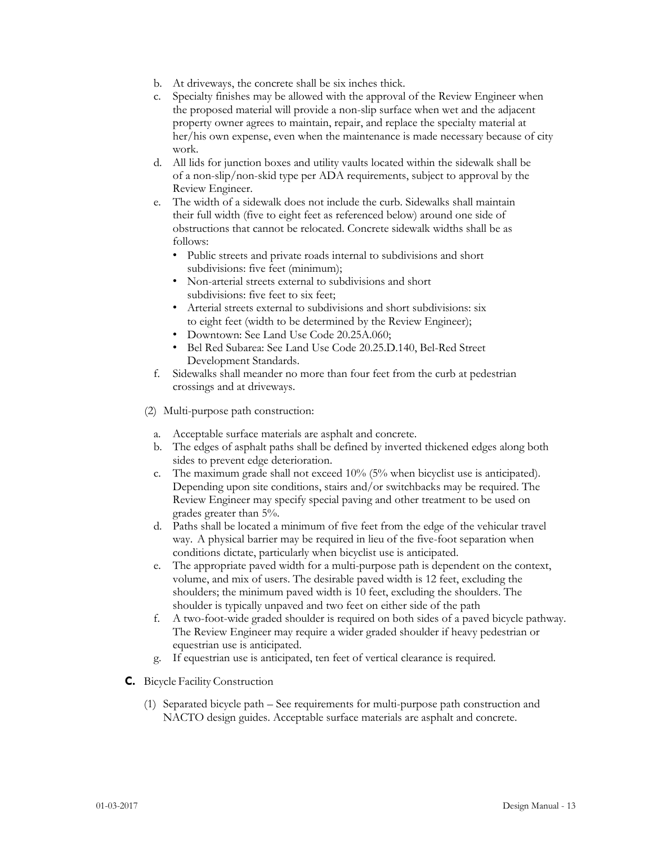- b. At driveways, the concrete shall be six inches thick.
- c. Specialty finishes may be allowed with the approval of the Review Engineer when the proposed material will provide a non-slip surface when wet and the adjacent property owner agrees to maintain, repair, and replace the specialty material at her/his own expense, even when the maintenance is made necessary because of city work.
- d. All lids for junction boxes and utility vaults located within the sidewalk shall be of a non-slip/non-skid type per ADA requirements, subject to approval by the Review Engineer.
- e. The width of a sidewalk does not include the curb. Sidewalks shall maintain their full width (five to eight feet as referenced below) around one side of obstructions that cannot be relocated. Concrete sidewalk widths shall be as follows:
	- Public streets and private roads internal to subdivisions and short subdivisions: five feet (minimum);
	- Non-arterial streets external to subdivisions and short subdivisions: five feet to six feet;
	- Arterial streets external to subdivisions and short subdivisions: six to eight feet (width to be determined by the Review Engineer);
	- Downtown: See Land Use Code 20.25A.060;
	- Bel Red Subarea: See Land Use Code 20.25.D.140, Bel-Red Street Development Standards.
- f. Sidewalks shall meander no more than four feet from the curb at pedestrian crossings and at driveways.
- (2) Multi-purpose path construction:
	- a. Acceptable surface materials are asphalt and concrete.
	- b. The edges of asphalt paths shall be defined by inverted thickened edges along both sides to prevent edge deterioration.
	- c. The maximum grade shall not exceed 10% (5% when bicyclist use is anticipated). Depending upon site conditions, stairs and/or switchbacks may be required. The Review Engineer may specify special paving and other treatment to be used on grades greater than 5%.
	- d. Paths shall be located a minimum of five feet from the edge of the vehicular travel way. A physical barrier may be required in lieu of the five-foot separation when conditions dictate, particularly when bicyclist use is anticipated.
	- e. The appropriate paved width for a multi-purpose path is dependent on the context, volume, and mix of users. The desirable paved width is 12 feet, excluding the shoulders; the minimum paved width is 10 feet, excluding the shoulders. The shoulder is typically unpaved and two feet on either side of the path
	- f. A two-foot-wide graded shoulder is required on both sides of a paved bicycle pathway. The Review Engineer may require a wider graded shoulder if heavy pedestrian or equestrian use is anticipated.
	- g. If equestrian use is anticipated, ten feet of vertical clearance is required.
- **C.** Bicycle Facility Construction
	- (1) Separated bicycle path See requirements for multi-purpose path construction and NACTO design guides. Acceptable surface materials are asphalt and concrete.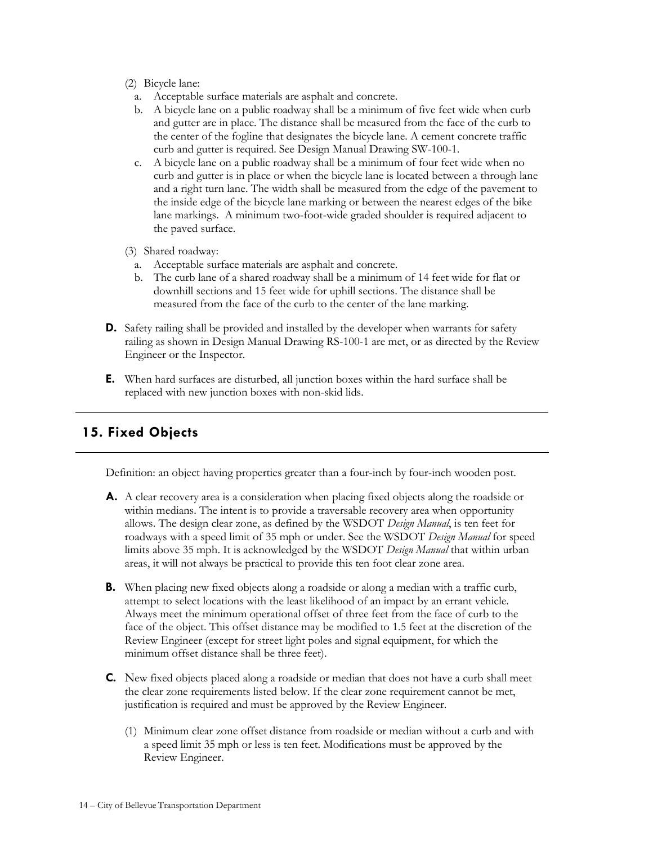- (2) Bicycle lane:
	- a. Acceptable surface materials are asphalt and concrete.
	- b. A bicycle lane on a public roadway shall be a minimum of five feet wide when curb and gutter are in place. The distance shall be measured from the face of the curb to the center of the fogline that designates the bicycle lane. A cement concrete traffic curb and gutter is required. See Design Manual Drawing SW-100-1.
	- c. A bicycle lane on a public roadway shall be a minimum of four feet wide when no curb and gutter is in place or when the bicycle lane is located between a through lane and a right turn lane. The width shall be measured from the edge of the pavement to the inside edge of the bicycle lane marking or between the nearest edges of the bike lane markings. A minimum two-foot-wide graded shoulder is required adjacent to the paved surface.
- (3) Shared roadway:
	- a. Acceptable surface materials are asphalt and concrete.
- b. The curb lane of a shared roadway shall be a minimum of 14 feet wide for flat or downhill sections and 15 feet wide for uphill sections. The distance shall be measured from the face of the curb to the center of the lane marking.
- **D.** Safety railing shall be provided and installed by the developer when warrants for safety railing as shown in Design Manual Drawing RS-100-1 are met, or as directed by the Review Engineer or the Inspector.
- **E.** When hard surfaces are disturbed, all junction boxes within the hard surface shall be replaced with new junction boxes with non-skid lids.

# **15. Fixed Objects**

Definition: an object having properties greater than a four-inch by four-inch wooden post.

- **A.** A clear recovery area is a consideration when placing fixed objects along the roadside or within medians. The intent is to provide a traversable recovery area when opportunity allows. The design clear zone, as defined by the WSDOT *Design Manual*, is ten feet for roadways with a speed limit of 35 mph or under. See the WSDOT *Design Manual* for speed limits above 35 mph. It is acknowledged by the WSDOT *Design Manual* that within urban areas, it will not always be practical to provide this ten foot clear zone area.
- **B.** When placing new fixed objects along a roadside or along a median with a traffic curb, attempt to select locations with the least likelihood of an impact by an errant vehicle. Always meet the minimum operational offset of three feet from the face of curb to the face of the object. This offset distance may be modified to 1.5 feet at the discretion of the Review Engineer (except for street light poles and signal equipment, for which the minimum offset distance shall be three feet).
- **C.** New fixed objects placed along a roadside or median that does not have a curb shall meet the clear zone requirements listed below. If the clear zone requirement cannot be met, justification is required and must be approved by the Review Engineer.
	- (1) Minimum clear zone offset distance from roadside or median without a curb and with a speed limit 35 mph or less is ten feet. Modifications must be approved by the Review Engineer.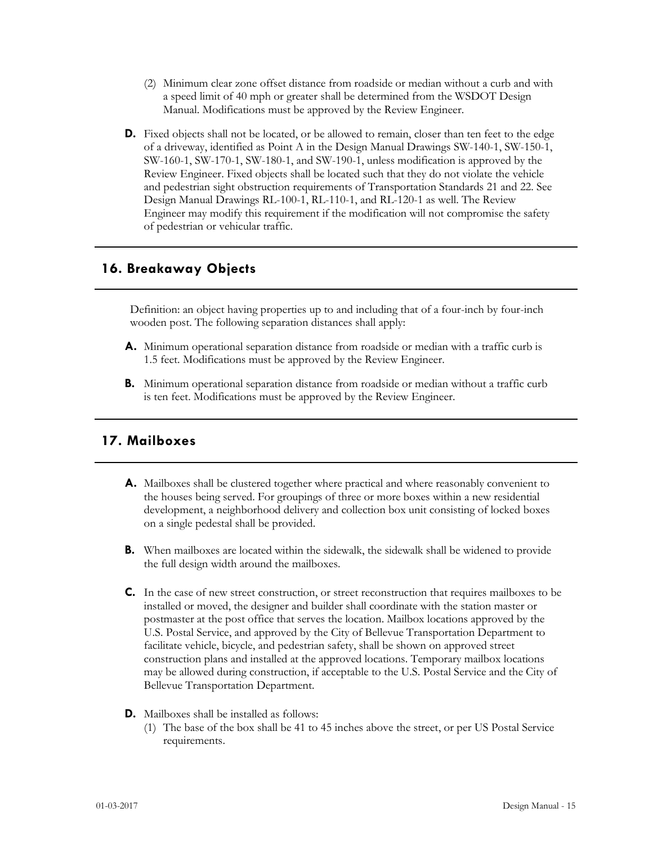- (2) Minimum clear zone offset distance from roadside or median without a curb and with a speed limit of 40 mph or greater shall be determined from the WSDOT Design Manual. Modifications must be approved by the Review Engineer.
- **D.** Fixed objects shall not be located, or be allowed to remain, closer than ten feet to the edge of a driveway, identified as Point A in the Design Manual Drawings SW-140-1, SW-150-1, SW-160-1, SW-170-1, SW-180-1, and SW-190-1, unless modification is approved by the Review Engineer. Fixed objects shall be located such that they do not violate the vehicle and pedestrian sight obstruction requirements of Transportation Standards 21 and 22. See Design Manual Drawings RL-100-1, RL-110-1, and RL-120-1 as well. The Review Engineer may modify this requirement if the modification will not compromise the safety of pedestrian or vehicular traffic.

# **16. Breakaway Objects**

Definition: an object having properties up to and including that of a four-inch by four-inch wooden post. The following separation distances shall apply:

- **A.** Minimum operational separation distance from roadside or median with a traffic curb is 1.5 feet. Modifications must be approved by the Review Engineer.
- **B.** Minimum operational separation distance from roadside or median without a traffic curb is ten feet. Modifications must be approved by the Review Engineer.

## **17. Mailboxes**

- **A.** Mailboxes shall be clustered together where practical and where reasonably convenient to the houses being served. For groupings of three or more boxes within a new residential development, a neighborhood delivery and collection box unit consisting of locked boxes on a single pedestal shall be provided.
- **B.** When mailboxes are located within the sidewalk, the sidewalk shall be widened to provide the full design width around the mailboxes.
- **C.** In the case of new street construction, or street reconstruction that requires mailboxes to be installed or moved, the designer and builder shall coordinate with the station master or postmaster at the post office that serves the location. Mailbox locations approved by the U.S. Postal Service, and approved by the City of Bellevue Transportation Department to facilitate vehicle, bicycle, and pedestrian safety, shall be shown on approved street construction plans and installed at the approved locations. Temporary mailbox locations may be allowed during construction, if acceptable to the U.S. Postal Service and the City of Bellevue Transportation Department.
- **D.** Mailboxes shall be installed as follows:
	- (1) The base of the box shall be 41 to 45 inches above the street, or per US Postal Service requirements.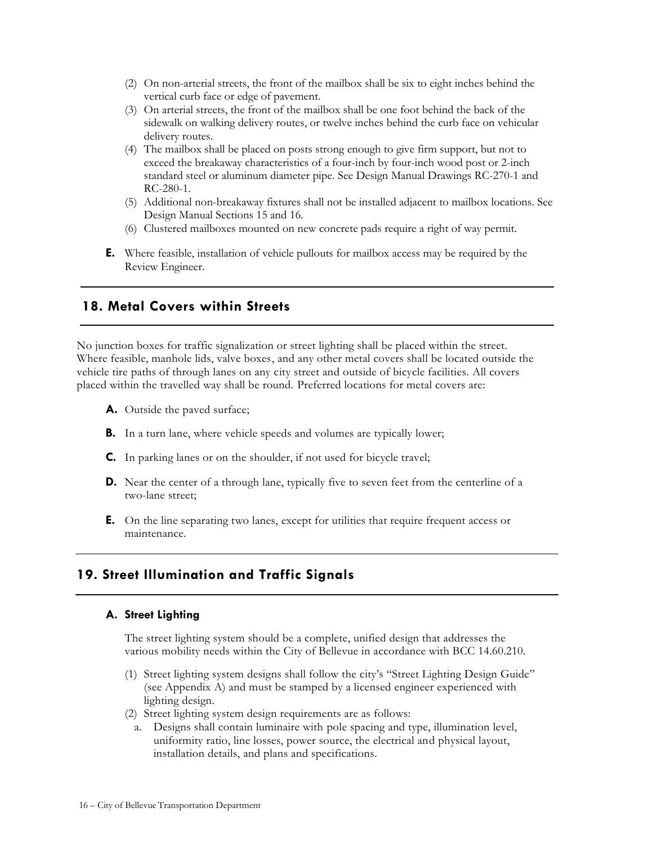- (2) On non-arterial streets, the front of the mailbox shall be six to eight inches behind the vertical curb face or edge of pavement.
- (3) On arterial streets, the front of the mailbox shall be one foot behind the back of the sidewalk on walking delivery routes, or twelve inches behind the curb face on vehicular delivery routes.
- (4) The mailbox shall be placed on posts strong enough to give firm support, but not to exceed the breakaway characteristics of a four-inch by four-inch wood post or 2-inch standard steel or aluminum diameter pipe. See Design Manual Drawings RC-270-1 and RC-280-1.
- (5) Additional non-breakaway fixtures shall not be installed adjacent to mailbox locations. See Design Manual Sections 15 and 16.
- (6) Clustered mailboxes mounted on new concrete pads require a right of way permit.
- **E.** Where feasible, installation of vehicle pullouts for mailbox access may be required by the Review Engineer.

## **18. Metal Covers within Streets**

No junction boxes for traffic signalization or street lighting shall be placed within the street. Where feasible, manhole lids, valve boxes, and any other metal covers shall be located outside the vehicle tire paths of through lanes on any city street and outside of bicycle facilities. All covers placed within the travelled way shall be round. Preferred locations for metal covers are:

- **A.** Outside the paved surface;
- **B.** In a turn lane, where vehicle speeds and volumes are typically lower;
- **C.** In parking lanes or on the shoulder, if not used for bicycle travel;
- **D.** Near the center of a through lane, typically five to seven feet from the centerline of a two-lane street;
- **E.** On the line separating two lanes, except for utilities that require frequent access or maintenance.

## **19. Street Illumination and Traffic Signals**

#### **A. Street Lighting**

The street lighting system should be a complete, unified design that addresses the various mobility needs within the City of Bellevue in accordance with BCC 14.60.210.

- (1) Street lighting system designs shall follow the city's "Street Lighting Design Guide" (see Appendix A) and must be stamped by a licensed engineer experienced with lighting design.
- (2) Street lighting system design requirements are as follows:
	- a. Designs shall contain luminaire with pole spacing and type, illumination level, uniformity ratio, line losses, power source, the electrical and physical layout, installation details, and plans and specifications.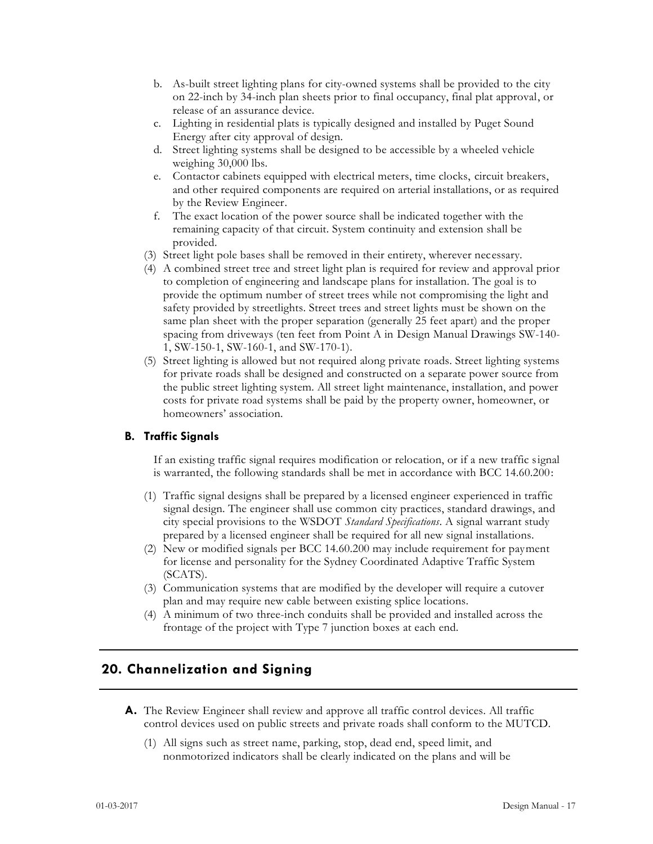- b. As-built street lighting plans for city-owned systems shall be provided to the city on 22-inch by 34-inch plan sheets prior to final occupancy, final plat approval, or release of an assurance device.
- c. Lighting in residential plats is typically designed and installed by Puget Sound Energy after city approval of design.
- d. Street lighting systems shall be designed to be accessible by a wheeled vehicle weighing 30,000 lbs.
- e. Contactor cabinets equipped with electrical meters, time clocks, circuit breakers, and other required components are required on arterial installations, or as required by the Review Engineer.
- f. The exact location of the power source shall be indicated together with the remaining capacity of that circuit. System continuity and extension shall be provided.
- (3) Street light pole bases shall be removed in their entirety, wherever necessary.
- (4) A combined street tree and street light plan is required for review and approval prior to completion of engineering and landscape plans for installation. The goal is to provide the optimum number of street trees while not compromising the light and safety provided by streetlights. Street trees and street lights must be shown on the same plan sheet with the proper separation (generally 25 feet apart) and the proper spacing from driveways (ten feet from Point A in Design Manual Drawings SW-140- 1, SW-150-1, SW-160-1, and SW-170-1).
- (5) Street lighting is allowed but not required along private roads. Street lighting systems for private roads shall be designed and constructed on a separate power source from the public street lighting system. All street light maintenance, installation, and power costs for private road systems shall be paid by the property owner, homeowner, or homeowners' association.

#### **B. Traffic Signals**

If an existing traffic signal requires modification or relocation, or if a new traffic signal is warranted, the following standards shall be met in accordance with BCC 14.60.200:

- (1) Traffic signal designs shall be prepared by a licensed engineer experienced in traffic signal design. The engineer shall use common city practices, standard drawings, and city special provisions to the WSDOT *Standard Specifications*. A signal warrant study prepared by a licensed engineer shall be required for all new signal installations.
- (2) New or modified signals per BCC 14.60.200 may include requirement for payment for license and personality for the Sydney Coordinated Adaptive Traffic System (SCATS).
- (3) Communication systems that are modified by the developer will require a cutover plan and may require new cable between existing splice locations.
- (4) A minimum of two three-inch conduits shall be provided and installed across the frontage of the project with Type 7 junction boxes at each end.

## **20. Channelization and Signing**

- **A.** The Review Engineer shall review and approve all traffic control devices. All traffic control devices used on public streets and private roads shall conform to the MUTCD.
	- (1) All signs such as street name, parking, stop, dead end, speed limit, and nonmotorized indicators shall be clearly indicated on the plans and will be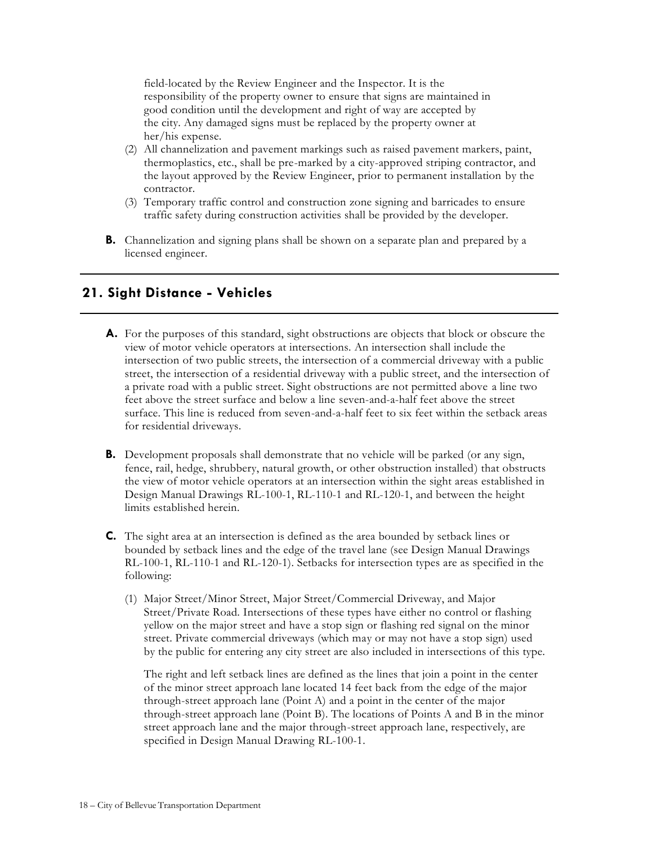field-located by the Review Engineer and the Inspector. It is the responsibility of the property owner to ensure that signs are maintained in good condition until the development and right of way are accepted by the city. Any damaged signs must be replaced by the property owner at her/his expense.

- (2) All channelization and pavement markings such as raised pavement markers, paint, thermoplastics, etc., shall be pre-marked by a city-approved striping contractor, and the layout approved by the Review Engineer, prior to permanent installation by the contractor.
- (3) Temporary traffic control and construction zone signing and barricades to ensure traffic safety during construction activities shall be provided by the developer.
- **B.** Channelization and signing plans shall be shown on a separate plan and prepared by a licensed engineer.

# **21. Sight Distance - Vehicles**

- **A.** For the purposes of this standard, sight obstructions are objects that block or obscure the view of motor vehicle operators at intersections. An intersection shall include the intersection of two public streets, the intersection of a commercial driveway with a public street, the intersection of a residential driveway with a public street, and the intersection of a private road with a public street. Sight obstructions are not permitted above a line two feet above the street surface and below a line seven-and-a-half feet above the street surface. This line is reduced from seven-and-a-half feet to six feet within the setback areas for residential driveways.
- **B.** Development proposals shall demonstrate that no vehicle will be parked (or any sign, fence, rail, hedge, shrubbery, natural growth, or other obstruction installed) that obstructs the view of motor vehicle operators at an intersection within the sight areas established in Design Manual Drawings RL-100-1, RL-110-1 and RL-120-1, and between the height limits established herein.
- **C.** The sight area at an intersection is defined as the area bounded by setback lines or bounded by setback lines and the edge of the travel lane (see Design Manual Drawings RL-100-1, RL-110-1 and RL-120-1). Setbacks for intersection types are as specified in the following:
	- (1) Major Street/Minor Street, Major Street/Commercial Driveway, and Major Street/Private Road. Intersections of these types have either no control or flashing yellow on the major street and have a stop sign or flashing red signal on the minor street. Private commercial driveways (which may or may not have a stop sign) used by the public for entering any city street are also included in intersections of this type.

The right and left setback lines are defined as the lines that join a point in the center of the minor street approach lane located 14 feet back from the edge of the major through-street approach lane (Point A) and a point in the center of the major through-street approach lane (Point B). The locations of Points A and B in the minor street approach lane and the major through-street approach lane, respectively, are specified in Design Manual Drawing RL-100-1.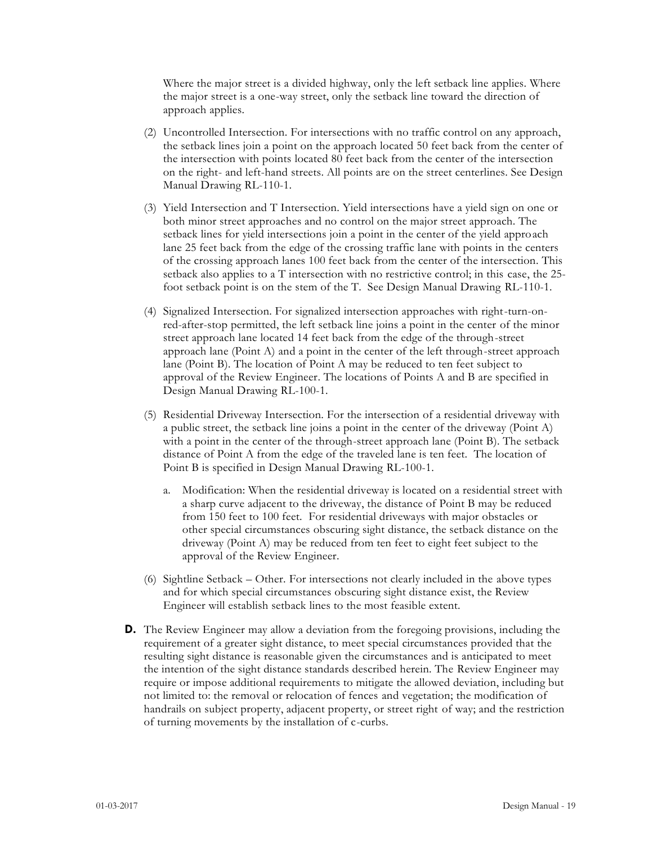Where the major street is a divided highway, only the left setback line applies. Where the major street is a one-way street, only the setback line toward the direction of approach applies.

- (2) Uncontrolled Intersection. For intersections with no traffic control on any approach, the setback lines join a point on the approach located 50 feet back from the center of the intersection with points located 80 feet back from the center of the intersection on the right- and left-hand streets. All points are on the street centerlines. See Design Manual Drawing RL-110-1.
- (3) Yield Intersection and T Intersection. Yield intersections have a yield sign on one or both minor street approaches and no control on the major street approach. The setback lines for yield intersections join a point in the center of the yield approach lane 25 feet back from the edge of the crossing traffic lane with points in the centers of the crossing approach lanes 100 feet back from the center of the intersection. This setback also applies to a T intersection with no restrictive control; in this case, the 25 foot setback point is on the stem of the T. See Design Manual Drawing RL-110-1.
- (4) Signalized Intersection. For signalized intersection approaches with right-turn-onred-after-stop permitted, the left setback line joins a point in the center of the minor street approach lane located 14 feet back from the edge of the through-street approach lane (Point A) and a point in the center of the left through-street approach lane (Point B). The location of Point A may be reduced to ten feet subject to approval of the Review Engineer. The locations of Points A and B are specified in Design Manual Drawing RL-100-1.
- (5) Residential Driveway Intersection. For the intersection of a residential driveway with a public street, the setback line joins a point in the center of the driveway (Point A) with a point in the center of the through-street approach lane (Point B). The setback distance of Point A from the edge of the traveled lane is ten feet. The location of Point B is specified in Design Manual Drawing RL-100-1.
	- a. Modification: When the residential driveway is located on a residential street with a sharp curve adjacent to the driveway, the distance of Point B may be reduced from 150 feet to 100 feet. For residential driveways with major obstacles or other special circumstances obscuring sight distance, the setback distance on the driveway (Point A) may be reduced from ten feet to eight feet subject to the approval of the Review Engineer.
- (6) Sightline Setback Other. For intersections not clearly included in the above types and for which special circumstances obscuring sight distance exist, the Review Engineer will establish setback lines to the most feasible extent.
- **D.** The Review Engineer may allow a deviation from the foregoing provisions, including the requirement of a greater sight distance, to meet special circumstances provided that the resulting sight distance is reasonable given the circumstances and is anticipated to meet the intention of the sight distance standards described herein. The Review Engineer may require or impose additional requirements to mitigate the allowed deviation, including but not limited to: the removal or relocation of fences and vegetation; the modification of handrails on subject property, adjacent property, or street right of way; and the restriction of turning movements by the installation of c-curbs.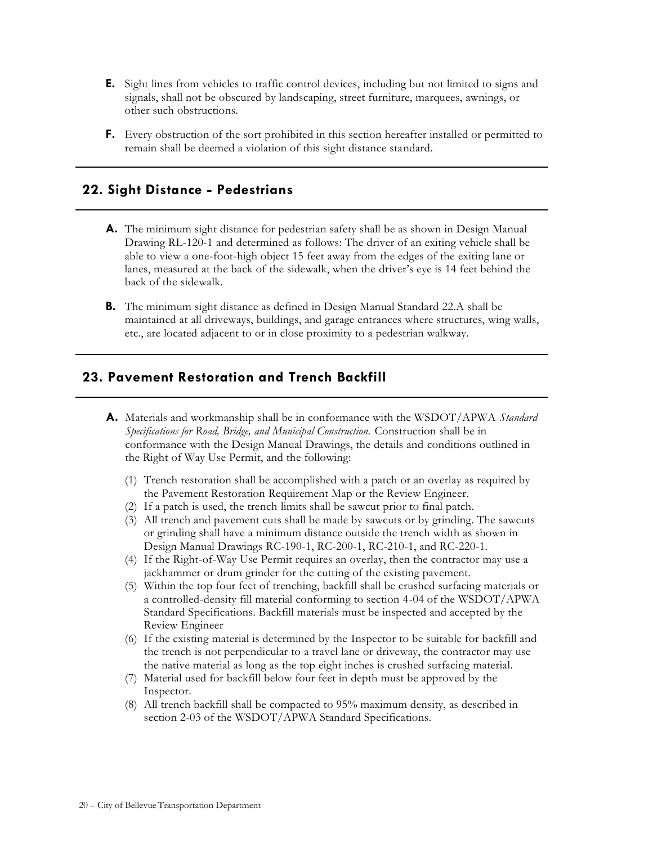- **E.** Sight lines from vehicles to traffic control devices, including but not limited to signs and signals, shall not be obscured by landscaping, street furniture, marquees, awnings, or other such obstructions.
- **F.** Every obstruction of the sort prohibited in this section hereafter installed or permitted to remain shall be deemed a violation of this sight distance standard.

## **22. Sight Distance - Pedestrians**

- **A.** The minimum sight distance for pedestrian safety shall be as shown in Design Manual Drawing RL-120-1 and determined as follows: The driver of an exiting vehicle shall be able to view a one-foot-high object 15 feet away from the edges of the exiting lane or lanes, measured at the back of the sidewalk, when the driver's eye is 14 feet behind the back of the sidewalk.
- **B.** The minimum sight distance as defined in Design Manual Standard 22.A shall be maintained at all driveways, buildings, and garage entrances where structures, wing walls, etc., are located adjacent to or in close proximity to a pedestrian walkway.

## **23. Pavement Restoration and Trench Backfill**

- **A.** Materials and workmanship shall be in conformance with the WSDOT/APWA *Standard Specifications for Road, Bridge, and Municipal Construction.* Construction shall be in conformance with the Design Manual Drawings, the details and conditions outlined in the Right of Way Use Permit, and the following:
	- (1) Trench restoration shall be accomplished with a patch or an overlay as required by the Pavement Restoration Requirement Map or the Review Engineer.
	- (2) If a patch is used, the trench limits shall be sawcut prior to final patch.
	- (3) All trench and pavement cuts shall be made by sawcuts or by grinding. The sawcuts or grinding shall have a minimum distance outside the trench width as shown in Design Manual Drawings RC-190-1, RC-200-1, RC-210-1, and RC-220-1.
	- (4) If the Right-of-Way Use Permit requires an overlay, then the contractor may use a jackhammer or drum grinder for the cutting of the existing pavement.
	- (5) Within the top four feet of trenching, backfill shall be crushed surfacing materials or a controlled-density fill material conforming to section 4-04 of the WSDOT/APWA Standard Specifications. Backfill materials must be inspected and accepted by the Review Engineer
	- (6) If the existing material is determined by the Inspector to be suitable for backfill and the trench is not perpendicular to a travel lane or driveway, the contractor may use the native material as long as the top eight inches is crushed surfacing material.
	- (7) Material used for backfill below four feet in depth must be approved by the Inspector.
	- (8) All trench backfill shall be compacted to 95% maximum density, as described in section 2-03 of the WSDOT/APWA Standard Specifications.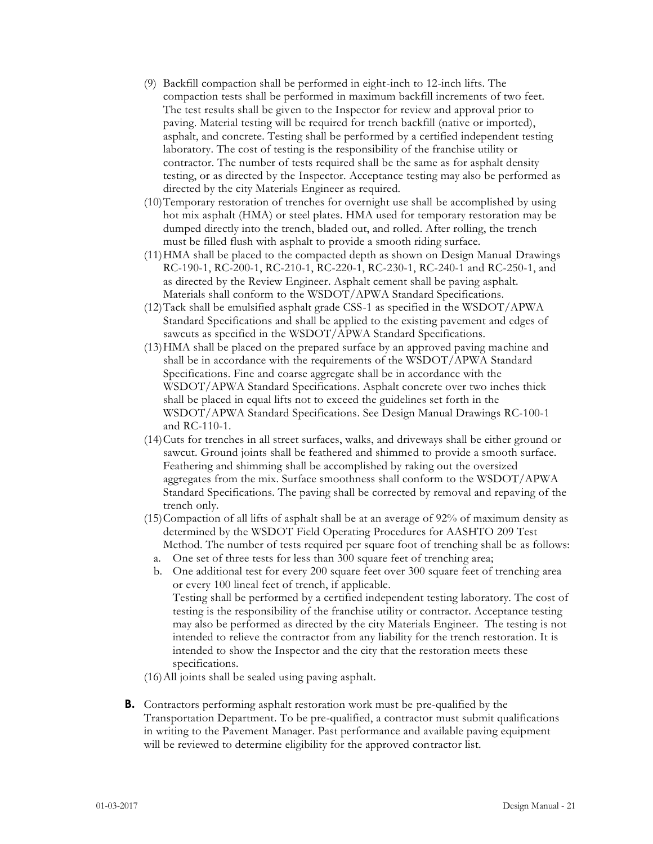- (9) Backfill compaction shall be performed in eight-inch to 12-inch lifts. The compaction tests shall be performed in maximum backfill increments of two feet. The test results shall be given to the Inspector for review and approval prior to paving. Material testing will be required for trench backfill (native or imported), asphalt, and concrete. Testing shall be performed by a certified independent testing laboratory. The cost of testing is the responsibility of the franchise utility or contractor. The number of tests required shall be the same as for asphalt density testing, or as directed by the Inspector. Acceptance testing may also be performed as directed by the city Materials Engineer as required.
- (10)Temporary restoration of trenches for overnight use shall be accomplished by using hot mix asphalt (HMA) or steel plates. HMA used for temporary restoration may be dumped directly into the trench, bladed out, and rolled. After rolling, the trench must be filled flush with asphalt to provide a smooth riding surface.
- (11)HMA shall be placed to the compacted depth as shown on Design Manual Drawings RC-190-1, RC-200-1, RC-210-1, RC-220-1, RC-230-1, RC-240-1 and RC-250-1, and as directed by the Review Engineer. Asphalt cement shall be paving asphalt. Materials shall conform to the WSDOT/APWA Standard Specifications.
- (12)Tack shall be emulsified asphalt grade CSS-1 as specified in the WSDOT/APWA Standard Specifications and shall be applied to the existing pavement and edges of sawcuts as specified in the WSDOT/APWA Standard Specifications.
- (13)HMA shall be placed on the prepared surface by an approved paving machine and shall be in accordance with the requirements of the WSDOT/APWA Standard Specifications. Fine and coarse aggregate shall be in accordance with the WSDOT/APWA Standard Specifications. Asphalt concrete over two inches thick shall be placed in equal lifts not to exceed the guidelines set forth in the WSDOT/APWA Standard Specifications. See Design Manual Drawings RC-100-1 and RC-110-1.
- (14)Cuts for trenches in all street surfaces, walks, and driveways shall be either ground or sawcut. Ground joints shall be feathered and shimmed to provide a smooth surface. Feathering and shimming shall be accomplished by raking out the oversized aggregates from the mix. Surface smoothness shall conform to the WSDOT/APWA Standard Specifications. The paving shall be corrected by removal and repaving of the trench only.
- (15)Compaction of all lifts of asphalt shall be at an average of 92% of maximum density as determined by the WSDOT Field Operating Procedures for AASHTO 209 Test Method. The number of tests required per square foot of trenching shall be as follows:
	- a. One set of three tests for less than 300 square feet of trenching area;
	- b. One additional test for every 200 square feet over 300 square feet of trenching area or every 100 lineal feet of trench, if applicable. Testing shall be performed by a certified independent testing laboratory. The cost of testing is the responsibility of the franchise utility or contractor. Acceptance testing may also be performed as directed by the city Materials Engineer. The testing is not intended to relieve the contractor from any liability for the trench restoration. It is intended to show the Inspector and the city that the restoration meets these specifications.
- (16)All joints shall be sealed using paving asphalt.
- **B.** Contractors performing asphalt restoration work must be pre-qualified by the Transportation Department. To be pre-qualified, a contractor must submit qualifications in writing to the Pavement Manager. Past performance and available paving equipment will be reviewed to determine eligibility for the approved contractor list.